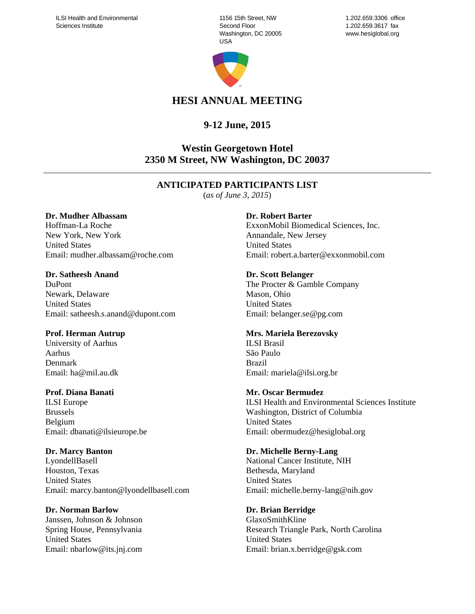1156 15th Street, NW Second Floor Washington, DC 20005 USA



1.202.659.3306 office 1.202.659.3617 fax www.hesiglobal.org

# **HESI ANNUAL MEETING**

# **9-12 June, 2015**

# **Westin Georgetown Hotel 2350 M Street, NW Washington, DC 20037**

# **ANTICIPATED PARTICIPANTS LIST**

(*as of June 3, 2015*)

#### **Dr. Mudher Albassam**

Hoffman-La Roche New York, New York United States Email: mudher.albassam@roche.com

**Dr. Satheesh Anand**  DuPont Newark, Delaware United States Email: satheesh.s.anand@dupont.com

# **Prof. Herman Autrup**

University of Aarhus Aarhus Denmark Email: ha@mil.au.dk

#### **Prof. Diana Banati**

ILSI Europe Brussels Belgium Email: dbanati@ilsieurope.be

#### **Dr. Marcy Banton**

LyondellBasell Houston, Texas United States Email: marcy.banton@lyondellbasell.com

# **Dr. Norman Barlow**

Janssen, Johnson & Johnson Spring House, Pennsylvania United States Email: nbarlow@its.jnj.com

#### **Dr. Robert Barter**

ExxonMobil Biomedical Sciences, Inc. Annandale, New Jersey United States Email: robert.a.barter@exxonmobil.com

#### **Dr. Scott Belanger**

The Procter & Gamble Company Mason, Ohio United States Email: belanger.se@pg.com

#### **Mrs. Mariela Berezovsky**

ILSI Brasil São Paulo Brazil Email: mariela@ilsi.org.br

#### **Mr. Oscar Bermudez**

ILSI Health and Environmental Sciences Institute Washington, District of Columbia United States Email: obermudez@hesiglobal.org

#### **Dr. Michelle Berny-Lang**

National Cancer Institute, NIH Bethesda, Maryland United States Email: michelle.berny-lang@nih.gov

# **Dr. Brian Berridge**

GlaxoSmithKline Research Triangle Park, North Carolina United States Email: brian.x.berridge@gsk.com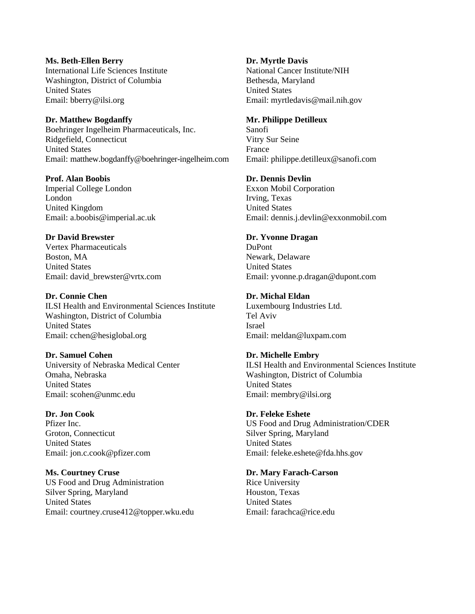#### **Ms. Beth-Ellen Berry**

International Life Sciences Institute Washington, District of Columbia United States Email: bberry@ilsi.org

#### **Dr. Matthew Bogdanffy**

Boehringer Ingelheim Pharmaceuticals, Inc. Ridgefield, Connecticut United States Email: matthew.bogdanffy@boehringer-ingelheim.com

# **Prof. Alan Boobis**

Imperial College London London United Kingdom Email: a.boobis@imperial.ac.uk

# **Dr David Brewster**

Vertex Pharmaceuticals Boston, MA United States Email: david\_brewster@vrtx.com

# **Dr. Connie Chen**

ILSI Health and Environmental Sciences Institute Washington, District of Columbia United States Email: cchen@hesiglobal.org

# **Dr. Samuel Cohen**

University of Nebraska Medical Center Omaha, Nebraska United States Email: scohen@unmc.edu

# **Dr. Jon Cook**

Pfizer Inc. Groton, Connecticut United States Email: jon.c.cook@pfizer.com

# **Ms. Courtney Cruse**

US Food and Drug Administration Silver Spring, Maryland United States Email: courtney.cruse412@topper.wku.edu

#### **Dr. Myrtle Davis**

National Cancer Institute/NIH Bethesda, Maryland United States Email: myrtledavis@mail.nih.gov

#### **Mr. Philippe Detilleux**

Sanofi Vitry Sur Seine France Email: philippe.detilleux@sanofi.com

#### **Dr. Dennis Devlin**

Exxon Mobil Corporation Irving, Texas United States Email: dennis.j.devlin@exxonmobil.com

#### **Dr. Yvonne Dragan**

DuPont Newark, Delaware United States Email: yvonne.p.dragan@dupont.com

#### **Dr. Michal Eldan**

Luxembourg Industries Ltd. Tel Aviv Israel Email: meldan@luxpam.com

# **Dr. Michelle Embry**

ILSI Health and Environmental Sciences Institute Washington, District of Columbia United States Email: membry@ilsi.org

# **Dr. Feleke Eshete**

US Food and Drug Administration/CDER Silver Spring, Maryland United States Email: feleke.eshete@fda.hhs.gov

#### **Dr. Mary Farach-Carson**

Rice University Houston, Texas United States Email: farachca@rice.edu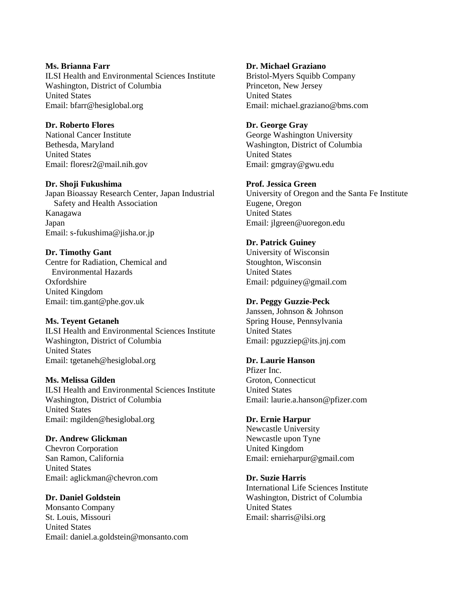#### **Ms. Brianna Farr**  ILSI Health and Environmental Sciences Institute Washington, District of Columbia United States Email: bfarr@hesiglobal.org

# **Dr. Roberto Flores**  National Cancer Institute

Bethesda, Maryland United States Email: floresr2@mail.nih.gov

# **Dr. Shoji Fukushima**

Japan Bioassay Research Center, Japan Industrial Safety and Health Association Kanagawa Japan Email: s-fukushima@jisha.or.jp

# **Dr. Timothy Gant**

Centre for Radiation, Chemical and Environmental Hazards Oxfordshire United Kingdom Email: tim.gant@phe.gov.uk

# **Ms. Teyent Getaneh**

ILSI Health and Environmental Sciences Institute Washington, District of Columbia United States Email: tgetaneh@hesiglobal.org

# **Ms. Melissa Gilden**

ILSI Health and Environmental Sciences Institute Washington, District of Columbia United States Email: mgilden@hesiglobal.org

# **Dr. Andrew Glickman**

Chevron Corporation San Ramon, California United States Email: aglickman@chevron.com

# **Dr. Daniel Goldstein**

Monsanto Company St. Louis, Missouri United States Email: daniel.a.goldstein@monsanto.com

#### **Dr. Michael Graziano**  Bristol-Myers Squibb Company Princeton, New Jersey United States Email: michael.graziano@bms.com

# **Dr. George Gray**

George Washington University Washington, District of Columbia United States Email: gmgray@gwu.edu

# **Prof. Jessica Green**

University of Oregon and the Santa Fe Institute Eugene, Oregon United States Email: jlgreen@uoregon.edu

# **Dr. Patrick Guiney**

University of Wisconsin Stoughton, Wisconsin United States Email: pdguiney@gmail.com

# **Dr. Peggy Guzzie-Peck**

Janssen, Johnson & Johnson Spring House, Pennsylvania United States Email: pguzziep@its.jnj.com

# **Dr. Laurie Hanson**

Pfizer Inc. Groton, Connecticut United States Email: laurie.a.hanson@pfizer.com

# **Dr. Ernie Harpur**

Newcastle University Newcastle upon Tyne United Kingdom Email: ernieharpur@gmail.com

# **Dr. Suzie Harris**

International Life Sciences Institute Washington, District of Columbia United States Email: sharris@ilsi.org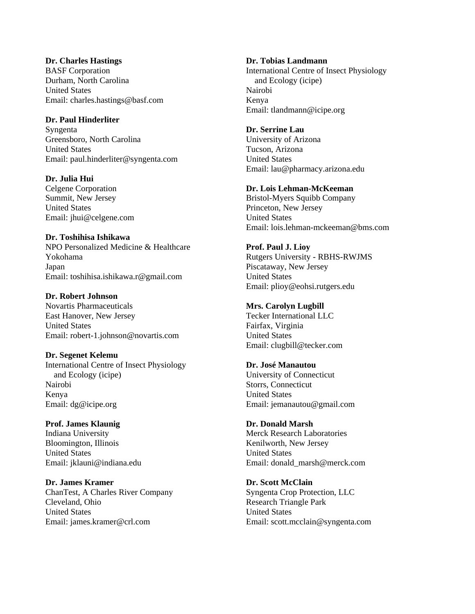#### **Dr. Charles Hastings**

BASF Corporation Durham, North Carolina United States Email: charles.hastings@basf.com

#### **Dr. Paul Hinderliter**

Syngenta Greensboro, North Carolina United States Email: paul.hinderliter@syngenta.com

#### **Dr. Julia Hui**

Celgene Corporation Summit, New Jersey United States Email: jhui@celgene.com

# **Dr. Toshihisa Ishikawa**

NPO Personalized Medicine & Healthcare Yokohama Japan Email: toshihisa.ishikawa.r@gmail.com

#### **Dr. Robert Johnson**

Novartis Pharmaceuticals East Hanover, New Jersey United States Email: robert-1.johnson@novartis.com

# **Dr. Segenet Kelemu**

International Centre of Insect Physiology and Ecology (icipe) Nairobi Kenya Email: dg@icipe.org

**Prof. James Klaunig**  Indiana University Bloomington, Illinois United States Email: jklauni@indiana.edu

**Dr. James Kramer**  ChanTest, A Charles River Company Cleveland, Ohio United States Email: james.kramer@crl.com

#### **Dr. Tobias Landmann**  International Centre of Insect Physiology and Ecology (icipe) Nairobi Kenya Email: tlandmann@icipe.org

# **Dr. Serrine Lau**

University of Arizona Tucson, Arizona United States Email: lau@pharmacy.arizona.edu

# **Dr. Lois Lehman-McKeeman**

Bristol-Myers Squibb Company Princeton, New Jersey United States Email: lois.lehman-mckeeman@bms.com

# **Prof. Paul J. Lioy**

Rutgers University - RBHS-RWJMS Piscataway, New Jersey United States Email: plioy@eohsi.rutgers.edu

### **Mrs. Carolyn Lugbill**

Tecker International LLC Fairfax, Virginia United States Email: clugbill@tecker.com

#### **Dr. José Manautou**

University of Connecticut Storrs, Connecticut United States Email: jemanautou@gmail.com

#### **Dr. Donald Marsh**  Merck Research Laboratories

Kenilworth, New Jersey United States Email: donald\_marsh@merck.com

#### **Dr. Scott McClain** Syngenta Crop Protection, LLC Research Triangle Park United States Email: scott.mcclain@syngenta.com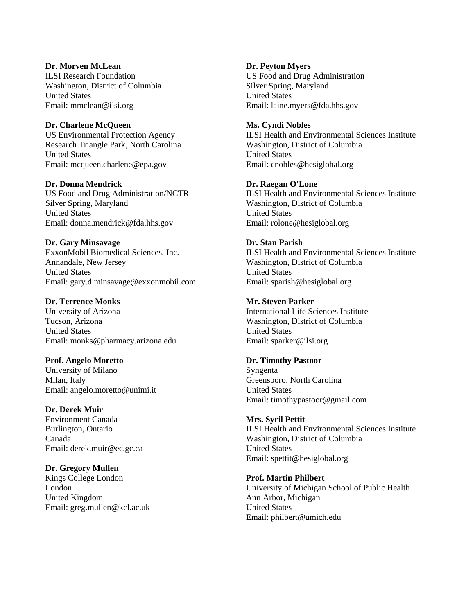#### **Dr. Morven McLean**  ILSI Research Foundation Washington, District of Columbia United States Email: mmclean@ilsi.org

#### **Dr. Charlene McQueen**

US Environmental Protection Agency Research Triangle Park, North Carolina United States Email: mcqueen.charlene@epa.gov

**Dr. Donna Mendrick**  US Food and Drug Administration/NCTR Silver Spring, Maryland United States Email: donna.mendrick@fda.hhs.gov

#### **Dr. Gary Minsavage**

ExxonMobil Biomedical Sciences, Inc. Annandale, New Jersey United States Email: gary.d.minsavage@exxonmobil.com

#### **Dr. Terrence Monks**

University of Arizona Tucson, Arizona United States Email: monks@pharmacy.arizona.edu

#### **Prof. Angelo Moretto**

University of Milano Milan, Italy Email: angelo.moretto@unimi.it

#### **Dr. Derek Muir**

Environment Canada Burlington, Ontario Canada Email: derek.muir@ec.gc.ca

**Dr. Gregory Mullen** 

Kings College London London United Kingdom Email: greg.mullen@kcl.ac.uk **Dr. Peyton Myers**  US Food and Drug Administration Silver Spring, Maryland United States Email: laine.myers@fda.hhs.gov

#### **Ms. Cyndi Nobles**

ILSI Health and Environmental Sciences Institute Washington, District of Columbia United States Email: cnobles@hesiglobal.org

#### **Dr. Raegan O'Lone**

ILSI Health and Environmental Sciences Institute Washington, District of Columbia United States Email: rolone@hesiglobal.org

#### **Dr. Stan Parish**

ILSI Health and Environmental Sciences Institute Washington, District of Columbia United States Email: sparish@hesiglobal.org

#### **Mr. Steven Parker**

International Life Sciences Institute Washington, District of Columbia United States Email: sparker@ilsi.org

#### **Dr. Timothy Pastoor**

Syngenta Greensboro, North Carolina United States Email: timothypastoor@gmail.com

#### **Mrs. Syril Pettit**

ILSI Health and Environmental Sciences Institute Washington, District of Columbia United States Email: spettit@hesiglobal.org

#### **Prof. Martin Philbert**

University of Michigan School of Public Health Ann Arbor, Michigan United States Email: philbert@umich.edu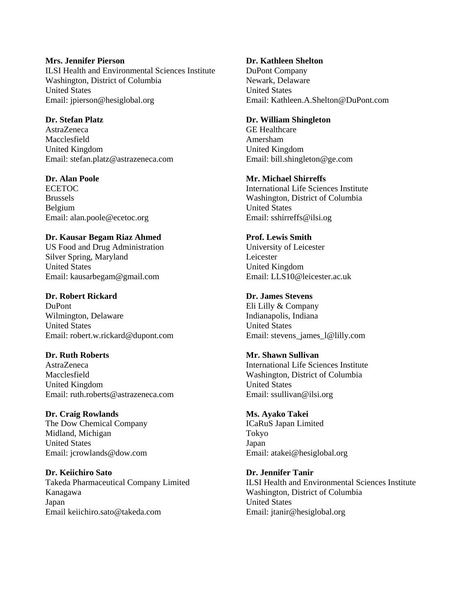#### **Mrs. Jennifer Pierson**

ILSI Health and Environmental Sciences Institute Washington, District of Columbia United States Email: jpierson@hesiglobal.org

#### **Dr. Stefan Platz**

AstraZeneca Macclesfield United Kingdom Email: stefan.platz@astrazeneca.com

### **Dr. Alan Poole**

ECETOC Brussels Belgium Email: alan.poole@ecetoc.org

# **Dr. Kausar Begam Riaz Ahmed**

US Food and Drug Administration Silver Spring, Maryland United States Email: kausarbegam@gmail.com

# **Dr. Robert Rickard**

DuPont Wilmington, Delaware United States Email: robert.w.rickard@dupont.com

# **Dr. Ruth Roberts**

AstraZeneca Macclesfield United Kingdom Email: ruth.roberts@astrazeneca.com

# **Dr. Craig Rowlands**

The Dow Chemical Company Midland, Michigan United States Email: jcrowlands@dow.com

**Dr. Keiichiro Sato**  Takeda Pharmaceutical Company Limited Kanagawa Japan Email keiichiro.sato@takeda.com

# **Dr. Kathleen Shelton**

DuPont Company Newark, Delaware United States Email: Kathleen.A.Shelton@DuPont.com

#### **Dr. William Shingleton**

GE Healthcare Amersham United Kingdom Email: bill.shingleton@ge.com

#### **Mr. Michael Shirreffs**

International Life Sciences Institute Washington, District of Columbia United States Email: sshirreffs@ilsi.og

# **Prof. Lewis Smith**

University of Leicester Leicester United Kingdom Email: LLS10@leicester.ac.uk

#### **Dr. James Stevens**

Eli Lilly & Company Indianapolis, Indiana United States Email: stevens\_james\_l@lilly.com

# **Mr. Shawn Sullivan**

International Life Sciences Institute Washington, District of Columbia United States Email: ssullivan@ilsi.org

# **Ms. Ayako Takei**

ICaRuS Japan Limited Tokyo Japan Email: atakei@hesiglobal.org

# **Dr. Jennifer Tanir**

ILSI Health and Environmental Sciences Institute Washington, District of Columbia United States Email: jtanir@hesiglobal.org